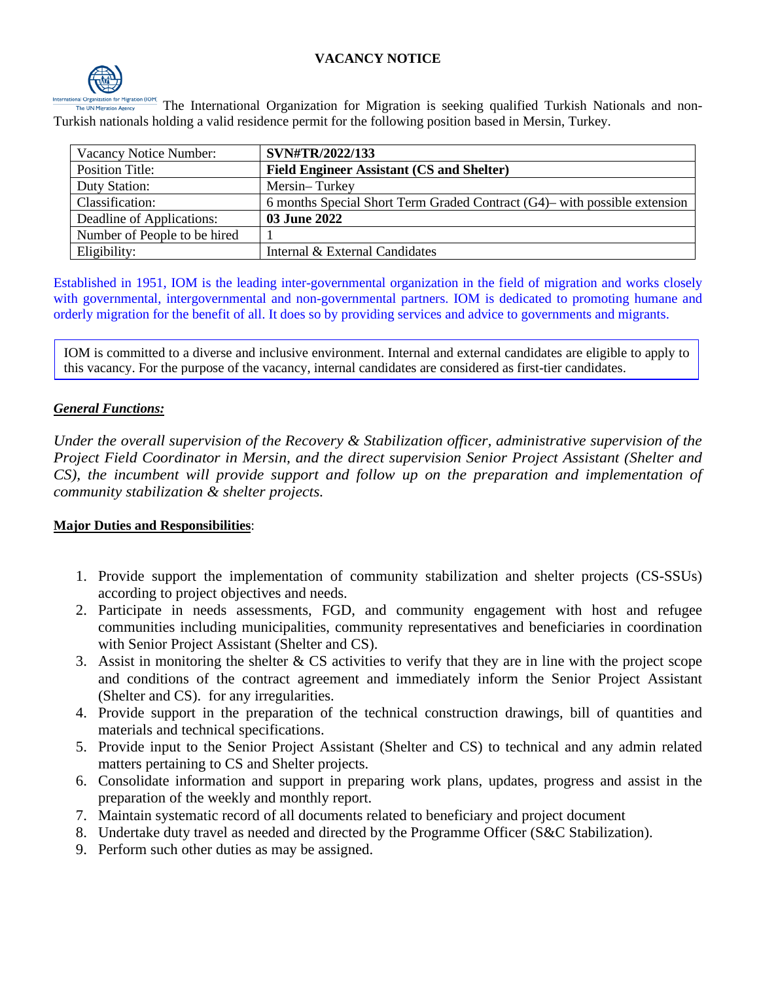## **VACANCY NOTICE**



The International Organization for Migration is seeking qualified Turkish Nationals and non-Turkish nationals holding a valid residence permit for the following position based in Mersin, Turkey.

| Vacancy Notice Number:       | SVN#TR/2022/133                                                              |
|------------------------------|------------------------------------------------------------------------------|
| Position Title:              | <b>Field Engineer Assistant (CS and Shelter)</b>                             |
| Duty Station:                | Mersin-Turkey                                                                |
| Classification:              | 6 months Special Short Term Graded Contract $(G4)$ — with possible extension |
| Deadline of Applications:    | 03 June 2022                                                                 |
| Number of People to be hired |                                                                              |
| Eligibility:                 | Internal & External Candidates                                               |

Established in 1951, IOM is the leading inter-governmental organization in the field of migration and works closely with governmental, intergovernmental and non-governmental partners. IOM is dedicated to promoting humane and orderly migration for the benefit of all. It does so by providing services and advice to governments and migrants.

IOM is committed to a diverse and inclusive environment. Internal and external candidates are eligible to apply to this vacancy. For the purpose of the vacancy, internal candidates are considered as first-tier candidates.

#### *General Functions:*

*Under the overall supervision of the Recovery & Stabilization officer, administrative supervision of the Project Field Coordinator in Mersin, and the direct supervision Senior Project Assistant (Shelter and CS), the incumbent will provide support and follow up on the preparation and implementation of community stabilization & shelter projects.*

#### **Major Duties and Responsibilities**:

- 1. Provide support the implementation of community stabilization and shelter projects (CS-SSUs) according to project objectives and needs.
- 2. Participate in needs assessments, FGD, and community engagement with host and refugee communities including municipalities, community representatives and beneficiaries in coordination with Senior Project Assistant (Shelter and CS).
- 3. Assist in monitoring the shelter & CS activities to verify that they are in line with the project scope and conditions of the contract agreement and immediately inform the Senior Project Assistant (Shelter and CS). for any irregularities.
- 4. Provide support in the preparation of the technical construction drawings, bill of quantities and materials and technical specifications.
- 5. Provide input to the Senior Project Assistant (Shelter and CS) to technical and any admin related matters pertaining to CS and Shelter projects.
- 6. Consolidate information and support in preparing work plans, updates, progress and assist in the preparation of the weekly and monthly report.
- 7. Maintain systematic record of all documents related to beneficiary and project document
- 8. Undertake duty travel as needed and directed by the Programme Officer (S&C Stabilization).
- 9. Perform such other duties as may be assigned.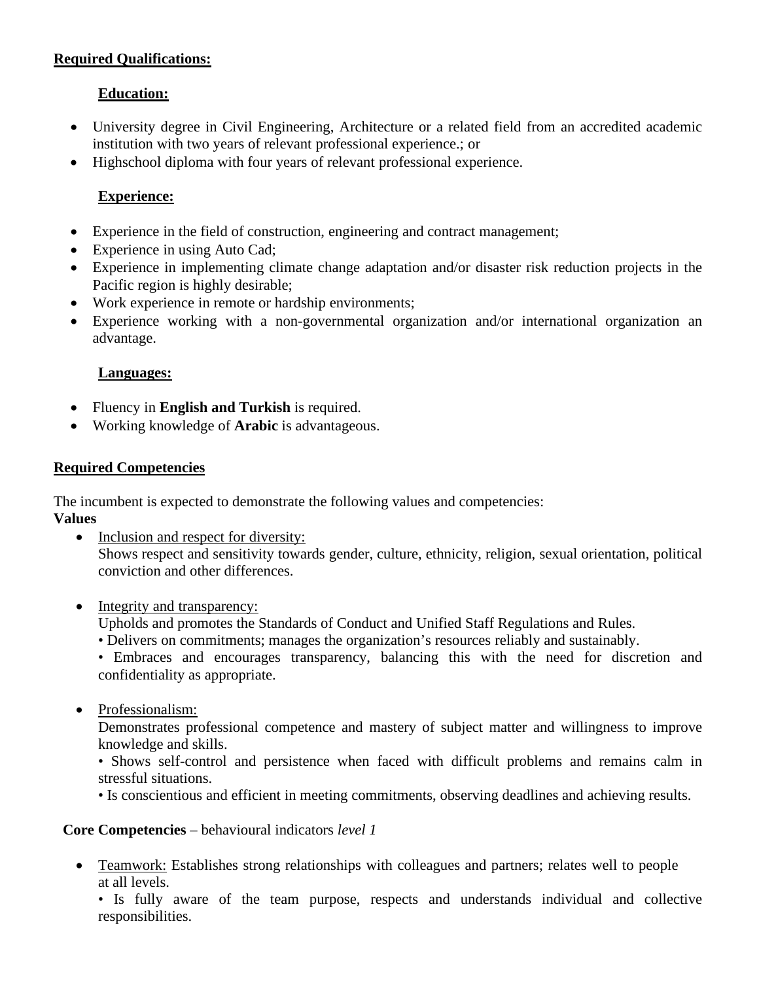## **Required Qualifications:**

# **Education:**

- University degree in Civil Engineering, Architecture or a related field from an accredited academic institution with two years of relevant professional experience.; or
- Highschool diploma with four years of relevant professional experience.

# **Experience:**

- Experience in the field of construction, engineering and contract management;
- Experience in using Auto Cad;
- Experience in implementing climate change adaptation and/or disaster risk reduction projects in the Pacific region is highly desirable;
- Work experience in remote or hardship environments;
- Experience working with a non-governmental organization and/or international organization an advantage.

## **Languages:**

- Fluency in **English and Turkish** is required.
- Working knowledge of **Arabic** is advantageous.

## **Required Competencies**

The incumbent is expected to demonstrate the following values and competencies:

**Values** 

- Inclusion and respect for diversity: Shows respect and sensitivity towards gender, culture, ethnicity, religion, sexual orientation, political conviction and other differences.
- Integrity and transparency:

Upholds and promotes the Standards of Conduct and Unified Staff Regulations and Rules.

• Delivers on commitments; manages the organization's resources reliably and sustainably.

• Embraces and encourages transparency, balancing this with the need for discretion and confidentiality as appropriate.

• Professionalism:

Demonstrates professional competence and mastery of subject matter and willingness to improve knowledge and skills.

• Shows self-control and persistence when faced with difficult problems and remains calm in stressful situations.

• Is conscientious and efficient in meeting commitments, observing deadlines and achieving results.

## **Core Competencies** – behavioural indicators *level 1*

• Teamwork: Establishes strong relationships with colleagues and partners; relates well to people at all levels.

• Is fully aware of the team purpose, respects and understands individual and collective responsibilities.